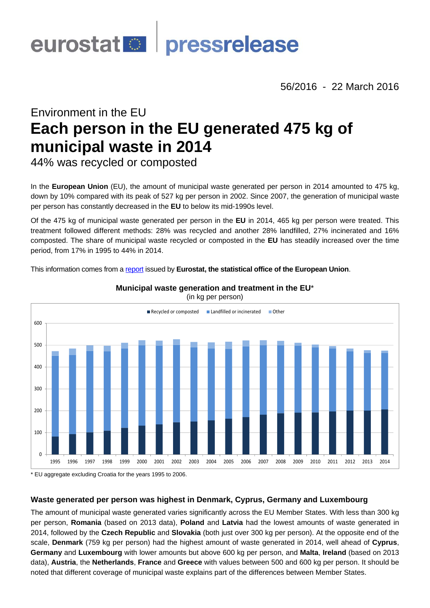

56/2016 - 22 March 2016

# Environment in the EU **Each person in the EU generated 475 kg of municipal waste in 2014**

44% was recycled or composted

In the **European Union** (EU), the amount of municipal waste generated per person in 2014 amounted to 475 kg, down by 10% compared with its peak of 527 kg per person in 2002. Since 2007, the generation of municipal waste per person has constantly decreased in the **EU** to below its mid-1990s level.

Of the 475 kg of municipal waste generated per person in the **EU** in 2014, 465 kg per person were treated. This treatment followed different methods: 28% was recycled and another 28% landfilled, 27% incinerated and 16% composted. The share of municipal waste recycled or composted in the **EU** has steadily increased over the time period, from 17% in 1995 to 44% in 2014.

This information comes from a [report](http://ec.europa.eu/eurostat/statistics-explained/index.php/Municipal_waste_statistics) issued by **Eurostat, the statistical office of the European Union**.



## **Municipal waste generation and treatment in the EU**\*

\* EU aggregate excluding Croatia for the years 1995 to 2006.

## **Waste generated per person was highest in Denmark, Cyprus, Germany and Luxembourg**

The amount of municipal waste generated varies significantly across the EU Member States. With less than 300 kg per person, **Romania** (based on 2013 data), **Poland** and **Latvia** had the lowest amounts of waste generated in 2014, followed by the **Czech Republic** and **Slovakia** (both just over 300 kg per person). At the opposite end of the scale, **Denmark** (759 kg per person) had the highest amount of waste generated in 2014, well ahead of **Cyprus**, **Germany** and **Luxembourg** with lower amounts but above 600 kg per person, and **Malta**, **Ireland** (based on 2013 data), **Austria**, the **Netherlands**, **France** and **Greece** with values between 500 and 600 kg per person. It should be noted that different coverage of municipal waste explains part of the differences between Member States.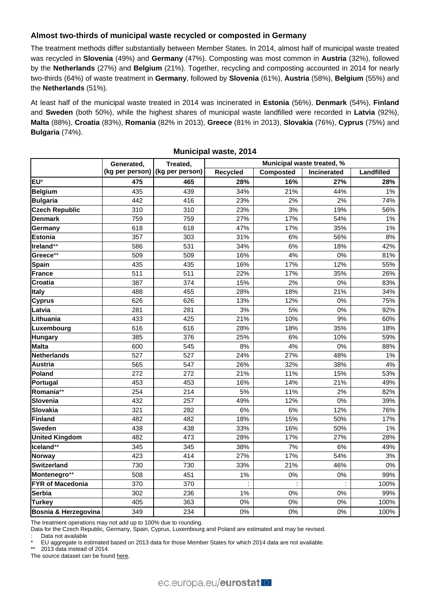## **Almost two-thirds of municipal waste recycled or composted in Germany**

The treatment methods differ substantially between Member States. In 2014, almost half of municipal waste treated was recycled in **Slovenia** (49%) and **Germany** (47%). Composting was most common in **Austria** (32%), followed by the **Netherlands** (27%) and **Belgium** (21%). Together, recycling and composting accounted in 2014 for nearly two-thirds (64%) of waste treatment in **Germany**, followed by **Slovenia** (61%), **Austria** (58%), **Belgium** (55%) and the **Netherlands** (51%).

At least half of the municipal waste treated in 2014 was incinerated in **Estonia** (56%), **Denmark** (54%), **Finland** and **Sweden** (both 50%), while the highest shares of municipal waste landfilled were recorded in **Latvia** (92%), **Malta** (88%), **Croatia** (83%), **Romania** (82% in 2013), **Greece** (81% in 2013), **Slovakia** (76%), **Cyprus** (75%) and **Bulgaria** (74%).

|                         | Generated,<br>(kg per person) | Treated,<br>(kg per person) | Municipal waste treated, % |           |                    |            |
|-------------------------|-------------------------------|-----------------------------|----------------------------|-----------|--------------------|------------|
|                         |                               |                             | <b>Recycled</b>            | Composted | <b>Incinerated</b> | Landfilled |
| EU*                     | 475                           | 465                         | 28%                        | 16%       | 27%                | 28%        |
| <b>Belgium</b>          | 435                           | 439                         | 34%                        | 21%       | 44%                | 1%         |
| <b>Bulgaria</b>         | 442                           | 416                         | 23%                        | 2%        | 2%                 | 74%        |
| <b>Czech Republic</b>   | 310                           | 310                         | 23%                        | 3%        | 19%                | 56%        |
| <b>Denmark</b>          | 759                           | 759                         | 27%                        | 17%       | 54%                | 1%         |
| Germany                 | 618                           | 618                         | 47%                        | 17%       | 35%                | 1%         |
| <b>Estonia</b>          | 357                           | 303                         | 31%                        | 6%        | 56%                | 8%         |
| Ireland**               | 586                           | 531                         | 34%                        | 6%        | 18%                | 42%        |
| Greece**                | 509                           | 509                         | 16%                        | 4%        | 0%                 | 81%        |
| <b>Spain</b>            | 435                           | 435                         | 16%                        | 17%       | 12%                | 55%        |
| <b>France</b>           | 511                           | 511                         | 22%                        | 17%       | 35%                | 26%        |
| <b>Croatia</b>          | 387                           | 374                         | 15%                        | 2%        | 0%                 | 83%        |
| <b>Italy</b>            | 488                           | 455                         | 28%                        | 18%       | 21%                | 34%        |
| <b>Cyprus</b>           | 626                           | 626                         | 13%                        | 12%       | 0%                 | 75%        |
| Latvia                  | 281                           | 281                         | 3%                         | 5%        | 0%                 | 92%        |
| Lithuania               | 433                           | 425                         | 21%                        | 10%       | 9%                 | 60%        |
| Luxembourg              | 616                           | 616                         | 28%                        | 18%       | 35%                | 18%        |
| <b>Hungary</b>          | 385                           | 376                         | 25%                        | 6%        | 10%                | 59%        |
| <b>Malta</b>            | 600                           | 545                         | 8%                         | 4%        | 0%                 | 88%        |
| <b>Netherlands</b>      | 527                           | 527                         | 24%                        | 27%       | 48%                | 1%         |
| <b>Austria</b>          | 565                           | 547                         | 26%                        | 32%       | 38%                | 4%         |
| Poland                  | 272                           | 272                         | 21%                        | 11%       | 15%                | 53%        |
| Portugal                | 453                           | 453                         | 16%                        | 14%       | 21%                | 49%        |
| Romania**               | 254                           | 214                         | 5%                         | 11%       | 2%                 | 82%        |
| <b>Slovenia</b>         | 432                           | 257                         | 49%                        | 12%       | 0%                 | 39%        |
| <b>Slovakia</b>         | 321                           | 282                         | 6%                         | 6%        | 12%                | 76%        |
| <b>Finland</b>          | 482                           | 482                         | 18%                        | 15%       | 50%                | 17%        |
| <b>Sweden</b>           | 438                           | 438                         | 33%                        | 16%       | 50%                | 1%         |
| <b>United Kingdom</b>   | 482                           | 473                         | 28%                        | 17%       | 27%                | 28%        |
| Iceland**               | 345                           | 345                         | 38%                        | 7%        | 6%                 | 49%        |
| <b>Norway</b>           | 423                           | 414                         | 27%                        | 17%       | 54%                | 3%         |
| <b>Switzerland</b>      | 730                           | 730                         | 33%                        | 21%       | 46%                | 0%         |
| Montenegro**            | 508                           | 451                         | 1%                         | 0%        | $0\%$              | 99%        |
| <b>FYR of Macedonia</b> | 370                           | 370                         |                            |           |                    | 100%       |
| <b>Serbia</b>           | 302                           | 236                         | 1%                         | 0%        | 0%                 | 99%        |
| <b>Turkey</b>           | 405                           | 363                         | 0%                         | 0%        | 0%                 | 100%       |
| Bosnia & Herzegovina    | 349                           | 234                         | $0\%$                      | $0\%$     | 0%                 | 100%       |

**Municipal waste, 2014** 

The treatment operations may not add up to 100% due to rounding.

Data for the Czech Republic, Germany, Spain, Cyprus, Luxembourg and Poland are estimated and may be revised.

Data not available

EU aggregate is estimated based on 2013 data for those Member States for which 2014 data are not available.

\*\* 2013 data instead of 2014.

The source dataset can be found [here.](http://appsso.eurostat.ec.europa.eu/nui/show.do?query=BOOKMARK_DS-150766_QID_D98395A_UID_-3F171EB0&layout=WST_OPER,L,X,0;GEO,L,Y,0;UNIT,L,Z,0;TIME,C,Z,1;INDICATORS,C,Z,2;&zSelection=DS-150766TIME,2014;DS-150766INDICATORS,OBS_FLAG;DS-150766UNIT,KG_HAB;&rankName1=UNIT_1_2_-1_2&rankName2=INDICATORS_1_2_-1_2&rankName3=TIME_1_0_0_0&rankName4=WST-OPER_1_2_0_0&rankName5=GEO_1_2_0_1&rStp=&cStp=&rDCh=&cDCh=&rDM=true&cDM=true&footnes=false&empty=false&wai=false&time_mode=ROLLING&time_most_recent=true&lang=EN&cfo=%23%23%23%2C%23%23%23.%23%23%23)